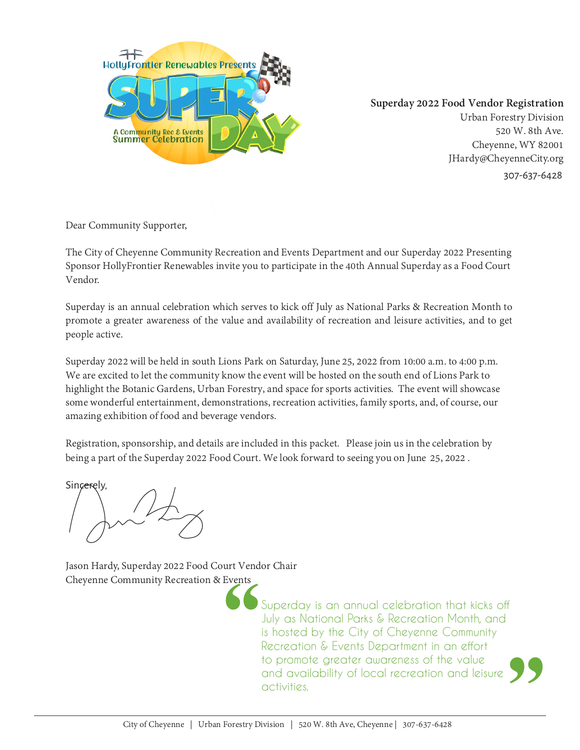

**Superday 2022 Food Vendor Registration**

Urban Forestry Division 520 W. 8th Ave. Cheyenne, WY 82001 JHardy@CheyenneCity.org 307-637-6428

Dear Community Supporter,

The City of Cheyenne Community Recreation and Events Department and our Superday 2022 Presenting<br>Sponsor HollyFrontier Renewables invite you to participate in the 40th Annual Superday as a Food Court<br>Vendor.<br>Superday is an

Registration, sponsorship, and details are included in this packet. Please join us in the celebration by being a part of the Superday 2022 Food Court. We look forward to seeing you on June 25, 2022 .

Sincerely.

Jason Hardy, Superday 2022 Food Court Vendor Chair Cheyenne Community Recreation & Events

> Superday is an annual celebration that kicks off July as National Parks & Recreation Month, and is hosted by the City of Cheyenne Community Recreation & Events Department in an effort to promote greater awareness of the value and availability of local recreation and leisure activities.  $\frac{1}{\sqrt{2}}$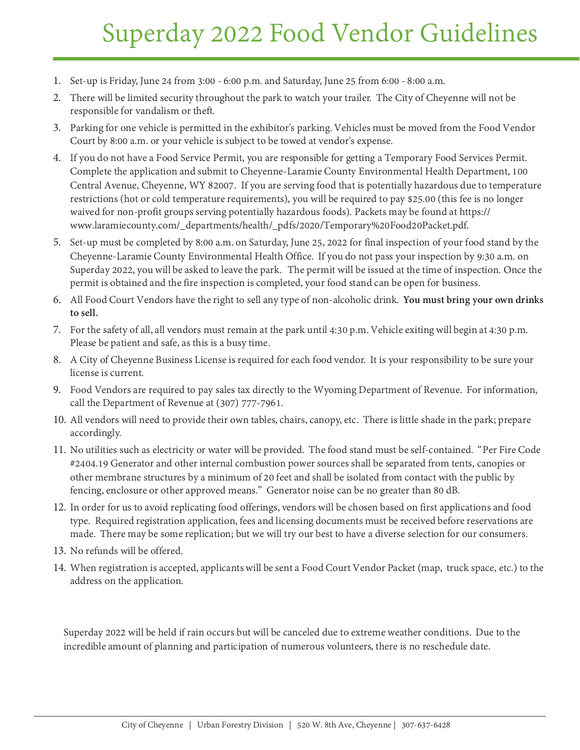## Superday 2022 Food Vendor Guidelines

- 1. Set-up is Friday, June 24 from 3:00 6:00 p.m. and Saturday, June 25 from 6:00 8:00 a.m.
- 2. There will be limited security throughout the park to watch your trailer. The City of Cheyenne will not be responsible for vandalism or theft.
- 3. Parking for one vehicle is permitted in the exhibitor's parking. Vehicles must be moved from the Food Vendor Court by 8:00 a.m. or your vehicle is subject to be towed at vendor's expense.
- 4. If you do not have a Food Service Permit, you are responsible for getting a Temporary Food Services Permit. Complete the application and submit to Cheyenne-Laramie County Environmental Health Department, 100 Central Avenue, Cheyenne, WY 82007. If you are serving food that is potentially hazardous due to temperature restrictions (hot or cold temperature requirements), you will be required to pay \$25.00 (this fee is no longer waived for non-profit groups serving potentially hazardous foods). Packets may be found at https:// www.laramiecounty.com/\_departments/health/\_pdfs/2020/Temporary%20Food20Packet.pdf.
- 5. Set-up must be completed by 8:00 a.m. on Saturday, June 25, 2022 for final inspection of your food stand by the Cheyenne-Laramie County Environmental Health Office. If you do not pass your inspection by 9:30 a.m. on Superday 2022, you will be asked to leave the park. The permit will be issued at the time of inspection. Once the permit is obtained and the fire inspection is completed, your food stand can be open for business.
- 6. All Food Court Vendors have the right to sell any type of non-alcoholic drink. **You must bring your own drinks to sell.**
- 7. For the safety of all, all vendors must remain at the park until 4:30 p.m. Vehicle exiting will begin at 4:30 p.m. Please be patient and safe, as this is a busy time.
- 8. A City of Cheyenne Business License is required for each food vendor. It is your responsibility to be sure your license is current.
- 9. Food Vendors are required to pay sales tax directly to the Wyoming Department of Revenue. For information, call the Department of Revenue at (307) 777-7961.
- 10. All vendors will need to provide their own tables, chairs, canopy, etc. There is little shade in the park; prepare accordingly.
- 11. No utilities such as electricity or water will be provided. The food stand must be self-contained. "Per Fire Code #2404.19 Generator and other internal combustion power sources shall be separated from tents, canopies or other membrane structures by a minimum of 20 feet and shall be isolated from contact with the public by fencing, enclosure or other approved means." Generator noise can be no greater than 80 dB.
- 12. In order for us to avoid replicating food offerings, vendors will be chosen based on first applications and food type. Required registration application, fees and licensing documents must be received before reservations are made. There may be some replication; but we will try our best to have a diverse selection for our consumers.
- 13. No refunds will be offered.
- 14. When registration is accepted, applicants will be sent a Food Court Vendor Packet (map, truck space, etc.) to the address on the application.

Superday 2022 will be held if rain occurs but will be canceled due to extreme weather conditions. Due to the incredible amount of planning and participation of numerous volunteers, there is no reschedule date.